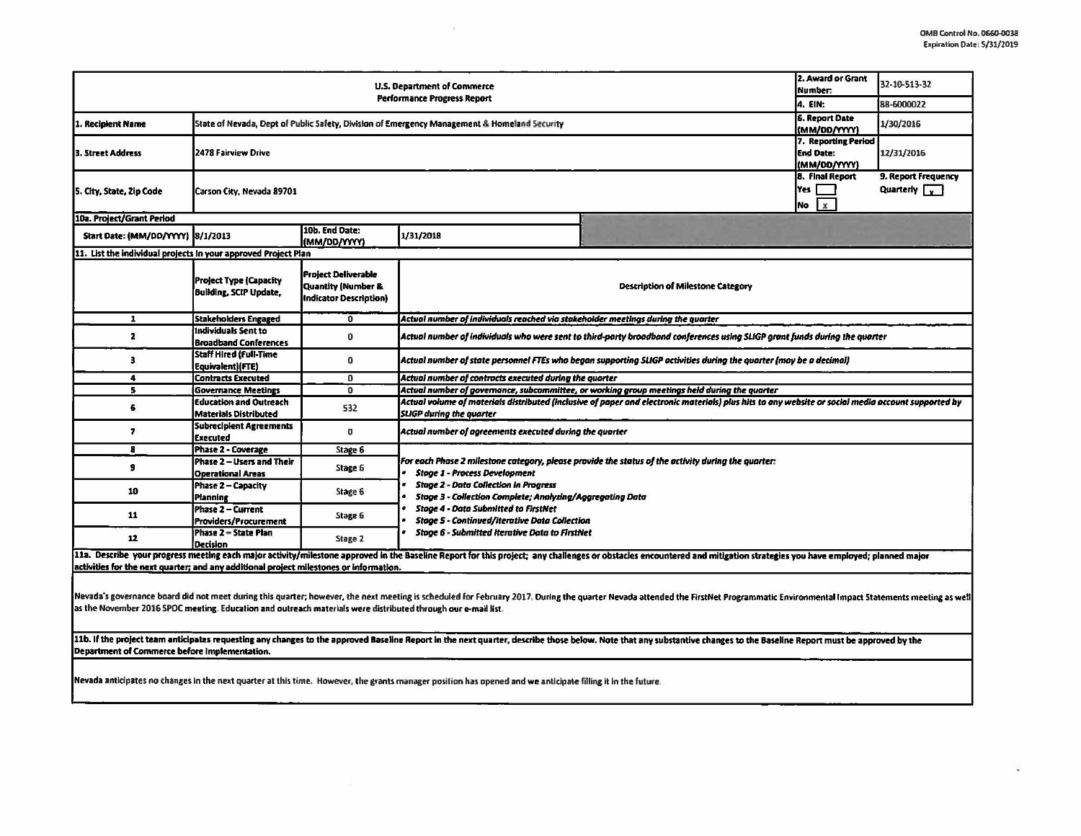ц.

| U.S. Department of Commerce<br><b>Performance Progress Report</b>                                                                                                                                                                                                                                                                                                                                                                                                                                                                                                         |                                                                |                                                                                              |                                                                                                                                                                                                                                                         |  | 2. Award or Grant<br>Number:<br>4. EIN:                 | 32-10-513-32<br>88-6000022                  |  |  |  |
|---------------------------------------------------------------------------------------------------------------------------------------------------------------------------------------------------------------------------------------------------------------------------------------------------------------------------------------------------------------------------------------------------------------------------------------------------------------------------------------------------------------------------------------------------------------------------|----------------------------------------------------------------|----------------------------------------------------------------------------------------------|---------------------------------------------------------------------------------------------------------------------------------------------------------------------------------------------------------------------------------------------------------|--|---------------------------------------------------------|---------------------------------------------|--|--|--|
| State of Nevada, Dept of Public Safety, Division of Emergency Management & Homeland Security<br>1. Recipient Name                                                                                                                                                                                                                                                                                                                                                                                                                                                         |                                                                |                                                                                              |                                                                                                                                                                                                                                                         |  | <b>6. Report Date</b><br>(MM/00/YYYY)                   | 1/30/2016                                   |  |  |  |
| 3. Street Address                                                                                                                                                                                                                                                                                                                                                                                                                                                                                                                                                         | 2478 Fairview Drive                                            |                                                                                              |                                                                                                                                                                                                                                                         |  | 7. Reporting Period<br><b>End Date:</b><br>(MM/DD/YYYY) | 12/31/2016                                  |  |  |  |
| 5. City, State, Zip Code                                                                                                                                                                                                                                                                                                                                                                                                                                                                                                                                                  | Carson City, Nevada 89701                                      |                                                                                              |                                                                                                                                                                                                                                                         |  | <b>8. Final Report</b><br>Yes<br>No<br>l x              | 9. Report Frequency<br>Quarterly $\sqrt{v}$ |  |  |  |
| 10a. Project/Grant Period                                                                                                                                                                                                                                                                                                                                                                                                                                                                                                                                                 |                                                                |                                                                                              |                                                                                                                                                                                                                                                         |  |                                                         |                                             |  |  |  |
| Start Date: (MM/DD/YYYY) 8/1/2013                                                                                                                                                                                                                                                                                                                                                                                                                                                                                                                                         |                                                                | 10b. End Date:<br>(MM/DD/YYYY)                                                               | 1/31/2018                                                                                                                                                                                                                                               |  |                                                         |                                             |  |  |  |
| 11. List the individual projects In your approved Project Plan                                                                                                                                                                                                                                                                                                                                                                                                                                                                                                            |                                                                |                                                                                              |                                                                                                                                                                                                                                                         |  |                                                         |                                             |  |  |  |
|                                                                                                                                                                                                                                                                                                                                                                                                                                                                                                                                                                           | <b>Project Type (Capacity</b><br><b>Building, SCIP Update,</b> | <b>Project Deliverable</b><br><b>Quantity (Number &amp;</b><br><b>Indicator Description)</b> | <b>Description of Milestone Category</b>                                                                                                                                                                                                                |  |                                                         |                                             |  |  |  |
| $\mathbf{1}$                                                                                                                                                                                                                                                                                                                                                                                                                                                                                                                                                              | <b>Stakeholders Engaged</b>                                    | $\mathbf{0}$                                                                                 | Actual number of individuals reached via stakeholder meetings during the quarter                                                                                                                                                                        |  |                                                         |                                             |  |  |  |
| $\mathbf{z}$                                                                                                                                                                                                                                                                                                                                                                                                                                                                                                                                                              | Individuals Sent to<br><b>Broadband Conferences</b>            | $\mathbf 0$                                                                                  | Actual number of individuals who were sent to third-party broadband conferences using SLIGP grant funds during the quarter                                                                                                                              |  |                                                         |                                             |  |  |  |
| з                                                                                                                                                                                                                                                                                                                                                                                                                                                                                                                                                                         | <b>Staff Hired (Full-Time</b><br>Equivalent)(FTE)              | $\bf{0}$                                                                                     | Actual number of state personnel FTEs who began supporting SLIGP activities during the quarter (may be a decimal)                                                                                                                                       |  |                                                         |                                             |  |  |  |
| 4                                                                                                                                                                                                                                                                                                                                                                                                                                                                                                                                                                         | <b>Contracts Executed</b>                                      | $\mathbf{0}$                                                                                 | Actual number of contracts executed during the quarter                                                                                                                                                                                                  |  |                                                         |                                             |  |  |  |
| 5.                                                                                                                                                                                                                                                                                                                                                                                                                                                                                                                                                                        | <b>Governance Meetings</b>                                     | $\overline{0}$                                                                               | Actual number of governance, subcommittee, or working group meetings held during the quarter                                                                                                                                                            |  |                                                         |                                             |  |  |  |
| 6                                                                                                                                                                                                                                                                                                                                                                                                                                                                                                                                                                         | <b>Education and Outreach</b><br><b>Materials Distributed</b>  | 532                                                                                          | Actual volume of materials distributed (inclusive of paper and electronic materials) plus hits to any website or social media account supported by<br><b>SLIGP during the quarter</b>                                                                   |  |                                                         |                                             |  |  |  |
| 7                                                                                                                                                                                                                                                                                                                                                                                                                                                                                                                                                                         | <b>Subrecipient Agreements</b><br><b>Executed</b>              | $\mathbf 0$                                                                                  | Actual number of agreements executed during the quarter                                                                                                                                                                                                 |  |                                                         |                                             |  |  |  |
| 8                                                                                                                                                                                                                                                                                                                                                                                                                                                                                                                                                                         | <b>Phase 2 - Coverage</b>                                      | Stage 6                                                                                      |                                                                                                                                                                                                                                                         |  |                                                         |                                             |  |  |  |
| 9                                                                                                                                                                                                                                                                                                                                                                                                                                                                                                                                                                         | Phase 2 - Users and Their<br><b>Operational Areas</b>          | Stage 6                                                                                      | For each Phase 2 milestone category, please provide the status of the activity during the quarter:<br><b>Stage 1 - Process Development</b><br><b>Stage 2 - Data Collection in Progress</b><br>Stage 3 - Collection Complete; Analyzing/Aggregating Data |  |                                                         |                                             |  |  |  |
| 10                                                                                                                                                                                                                                                                                                                                                                                                                                                                                                                                                                        | Phase 2 - Capacity<br>Pfanning                                 | Stage 6                                                                                      |                                                                                                                                                                                                                                                         |  |                                                         |                                             |  |  |  |
| 11                                                                                                                                                                                                                                                                                                                                                                                                                                                                                                                                                                        | Phase 2 - Current<br>Providers/Procurement                     | Stage 6                                                                                      | <b>Stage 4 - Data Submitted to FirstNet</b><br><b>Stage 5 - Continued/Iterative Data Collection</b><br><b>Stage 6 - Submitted Iterative Data to FirstNet</b>                                                                                            |  |                                                         |                                             |  |  |  |
| 12                                                                                                                                                                                                                                                                                                                                                                                                                                                                                                                                                                        | Phase 2 - State Plan<br><b>Decision</b>                        | Stage 2                                                                                      |                                                                                                                                                                                                                                                         |  |                                                         |                                             |  |  |  |
| 11a. Describe your progress meeting each major activity/milestone approved in the Baseline Report for this project; any challenges or obstacles encountered and mitigation strategies you have employed; planned major<br>activities for the next quarter; and any additional project milestones or information.                                                                                                                                                                                                                                                          |                                                                |                                                                                              |                                                                                                                                                                                                                                                         |  |                                                         |                                             |  |  |  |
| Nevada's governance board did not meet during this quarter; however, the next meeting is scheduled for February 2017. During the quarter Nevada attended the FirstNet Programmatic Environmental Impact Statements meeting as<br>as the November 2016 SPOC meeting. Education and outreach materials were distributed through our e-mail list.<br>11b. If the project team anticipates requesting any changes to the approved Baseline Report in the next quarter, describe those below. Note that any substantive changes to the Baseline Report must be approved by the |                                                                |                                                                                              |                                                                                                                                                                                                                                                         |  |                                                         |                                             |  |  |  |

 $\cdot$ 

Department of Commerce before implementation.

Nevada anticipates no changes in the next quarter at this time. However, the grants manager position has opened and we anticipate filling it in the future.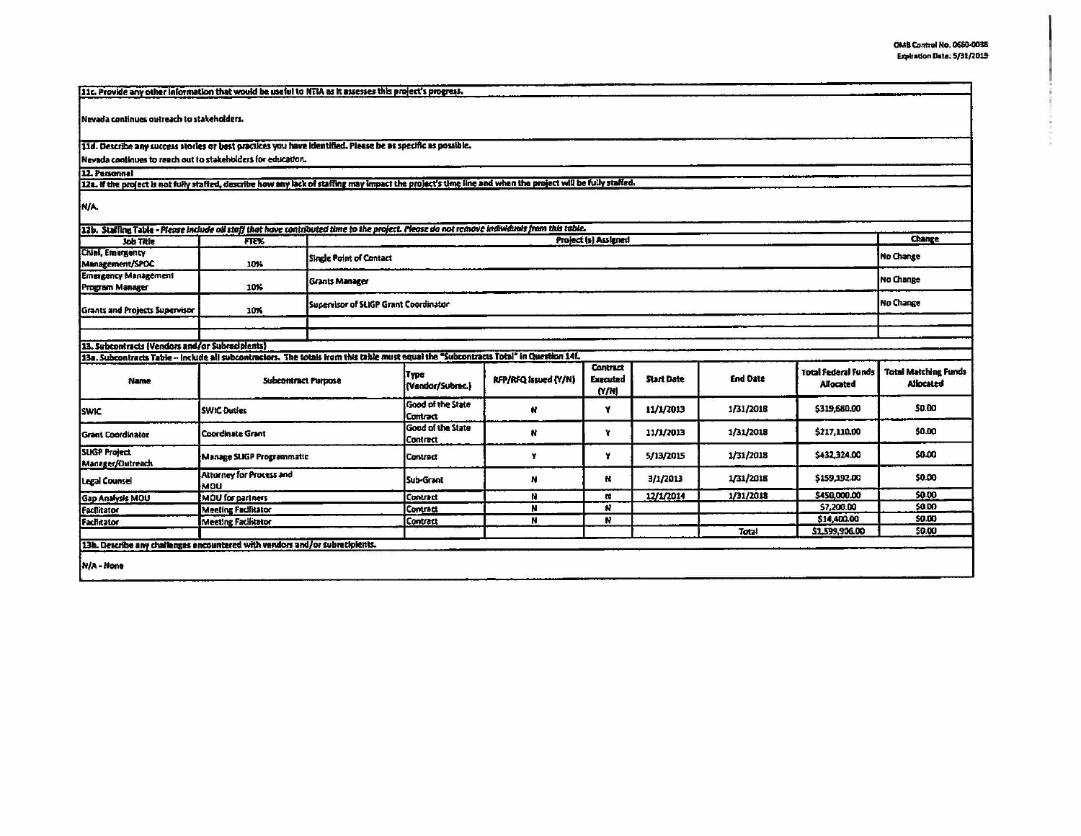ŧ

| 11c. Provide any other information that would be useful to NTIA as it assesses this project's progress.                                                                                  |                                              |                         |                                             |                      |                          |                   |                  |                                                |                                                 |
|------------------------------------------------------------------------------------------------------------------------------------------------------------------------------------------|----------------------------------------------|-------------------------|---------------------------------------------|----------------------|--------------------------|-------------------|------------------|------------------------------------------------|-------------------------------------------------|
|                                                                                                                                                                                          |                                              |                         |                                             |                      |                          |                   |                  |                                                |                                                 |
| Nevada continues outreach to stakeholders.                                                                                                                                               |                                              |                         |                                             |                      |                          |                   |                  |                                                |                                                 |
| 11d. Describe any success stories or best practices you have identified. Please be as specific as possible.                                                                              |                                              |                         |                                             |                      |                          |                   |                  |                                                |                                                 |
| Nevada continues to reach out to stakeholders for education.                                                                                                                             |                                              |                         |                                             |                      |                          |                   |                  |                                                |                                                 |
| 12. Personnel<br>122. If the project is not fully staffed, describe how any lock of staffing may impact the project's time line and when the project will be fully staffed.              |                                              |                         |                                             |                      |                          |                   |                  |                                                |                                                 |
|                                                                                                                                                                                          |                                              |                         |                                             |                      |                          |                   |                  |                                                |                                                 |
| <b>N/A</b>                                                                                                                                                                               |                                              |                         |                                             |                      |                          |                   |                  |                                                |                                                 |
| 12b. Staffing Table - Picose include oil staff that have contributed time to the project. Please do not remove individuals from this table.                                              |                                              |                         |                                             |                      |                          |                   |                  |                                                |                                                 |
| Job Title                                                                                                                                                                                | FTE%                                         |                         |                                             |                      | Project (s) Assigned     |                   |                  |                                                | <b>Change</b>                                   |
| Chief, Emergency<br>Management/SPOC                                                                                                                                                      | 10%                                          | Single Point of Contact |                                             |                      |                          |                   | <b>No Change</b> |                                                |                                                 |
| <b>Emergency Management</b>                                                                                                                                                              |                                              | <b>Grants Manager</b>   |                                             |                      |                          |                   |                  |                                                | No Change                                       |
| <b>Program Manager</b>                                                                                                                                                                   | 10%                                          |                         |                                             |                      |                          |                   |                  |                                                |                                                 |
| <b>Grants and Projects Supervisor</b>                                                                                                                                                    | Supervisor of SLIGP Grant Coordinator<br>10% |                         |                                             |                      |                          | No Change         |                  |                                                |                                                 |
|                                                                                                                                                                                          |                                              |                         |                                             |                      |                          |                   |                  |                                                |                                                 |
|                                                                                                                                                                                          |                                              |                         |                                             |                      |                          |                   |                  |                                                |                                                 |
| 13. Subcontracts (Vendors and/or Subrecipients)<br>13a. Subcontracts Table - Include all subcontractors. The totals from this table must equal the "Subcontracts Total" in Question 14f. |                                              |                         |                                             |                      |                          |                   |                  |                                                |                                                 |
|                                                                                                                                                                                          |                                              |                         |                                             |                      | <b>Contract</b>          |                   |                  |                                                |                                                 |
| <b>Name</b>                                                                                                                                                                              | <b>Subcontract Purpose</b>                   |                         | <b>Type</b><br>(Vandor/Subrec.)             | RFP/RFQ Issued (Y/N) | <b>Executed</b><br>(N/N) | <b>Start Date</b> | <b>End Date</b>  | <b>Total Federal Funds</b><br><b>Allocated</b> | <b>Total Matching Funds</b><br><b>Allocated</b> |
| <b>SWIC</b>                                                                                                                                                                              | <b>SWIC Duties</b>                           |                         | Good of the State<br><b>Contract</b>        | N                    | Y                        | 11/1/2013         | 1/31/2018        | \$319,660.00                                   | \$0.00                                          |
| <b>Grant Coordinator</b>                                                                                                                                                                 | <b>Coordinate Grant</b>                      |                         | <b>Good of the State</b><br><b>Contract</b> | N                    | Y                        | 11/1/2013         | 1/31/2018        | \$217,110.00                                   | \$0.00                                          |
| <b>SLIGP Project</b><br>Manager/Outreach                                                                                                                                                 | Manage SLIGP Programmatic                    |                         | Contract                                    | Y                    | ¥                        | 5/13/2015         | 1/31/2018        | \$432,324.00                                   | \$0.00                                          |
| Legal Counsel                                                                                                                                                                            | Attorney for Process and<br>MOU              |                         | Sub-Grant                                   | N                    | R.                       | 3/1/2013          | 1/31/2018        | \$159,192.00                                   | \$0.00                                          |
| <b>Gap Analysis MOU</b>                                                                                                                                                                  | <b>MOU</b> for partners                      |                         | Contract                                    | N                    | u                        | 12/1/2014         | 1/31/2018        | \$450,000.00                                   | \$0.00                                          |
| Facilitator                                                                                                                                                                              | <b>Meeting Facilitator</b>                   |                         | Contract                                    | N                    | N                        |                   |                  | \$7,200.00                                     | \$0.00                                          |
| Facilitator                                                                                                                                                                              | <b>Meeting Facilitator</b>                   |                         | Contract                                    | N                    | N                        |                   |                  | \$14,400.00                                    | \$0.00                                          |
|                                                                                                                                                                                          |                                              |                         |                                             |                      |                          |                   | Total            | 51.599.906.00                                  | 50.00                                           |
| 13b. Describe any challenges encountered with vendors and/or subratipients.                                                                                                              |                                              |                         |                                             |                      |                          |                   |                  |                                                |                                                 |
| N/A - None                                                                                                                                                                               |                                              |                         |                                             |                      |                          |                   |                  |                                                |                                                 |